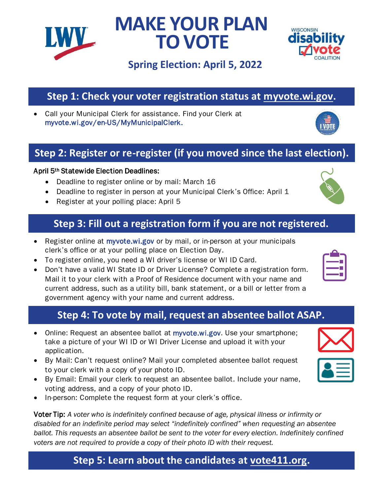**Step 5: Learn about the candidates at [vote411.org.](https://www.vote411.org/)**

# **Step 1: Check your voter registration status at [myvote.wi.gov.](http://www.myvote.wi.gov/)**

• Call your Municipal Clerk for assistance. Find your Clerk at [myvote.wi.gov/en-US/MyMunicipalClerk](http://www.myvote.wi.gov/en-US/MyMunicipalClerk).

### **Step 2: Register or re-register (if you moved since the last election).**

#### April 5th Statewide Election Deadlines:

- Deadline to register online or by mail: March 16
- Deadline to register in person at your Municipal Clerk's Office: April 1
- Register at your polling place: April 5

### **Step 3: Fill out a registration form if you are not registered.**

- Register online at [myvote.wi.gov](https://myvote.wi.gov/en-us/) or by mail, or in-person at your municipals clerk's office or at your polling place on Election Day.
- To register online, you need a WI driver's license or WI ID Card.
- Don't have a valid WI State ID or Driver License? Complete a registration form. Mail it to your clerk with a Proof of Residence document with your name and current address, such as a utility bill, bank statement, or a bill or letter from a government agency with your name and current address.

### **Step 4: To vote by mail, request an absentee ballot ASAP.**

- Online: Request an absentee ballot at [myvote.wi.gov.](https://myvote.wi.gov/en-us/) Use your smartphone; take a picture of your WI ID or WI Driver License and upload it with your application.
- By Mail: Can't request online? Mail your completed absentee ballot request to your clerk with a copy of your photo ID.
- By Email: Email your clerk to request an absentee ballot. Include your name, voting address, and a copy of your photo ID.
- In-person: Complete the request form at your clerk's office.

Voter Tip: *A voter who is indefinitely confined because of age, physical illness or infirmity or disabled for an indefinite period may select "indefinitely confined" when requesting an absentee ballot. This requests an absentee ballot be sent to the voter for every election. Indefinitely confined voters are not required to provide a copy of their photo ID with their request.*

## **Spring Election: April 5, 2022**